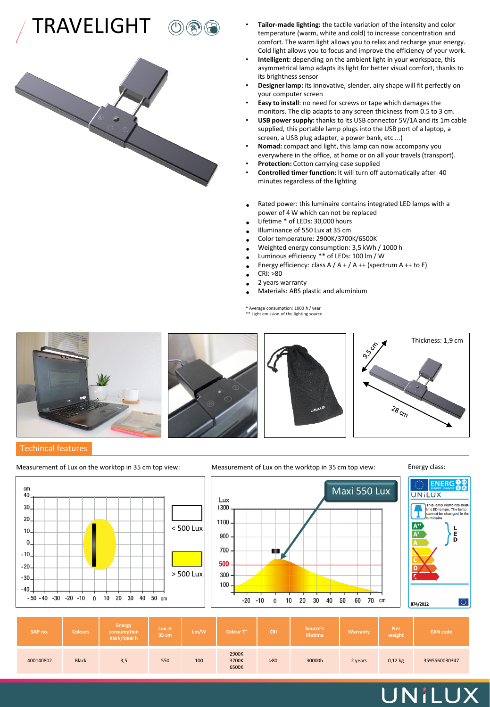## TRAVELIGHT



- **Tailor-made lighting:** the tactile variation of the intensity and color temperature (warm, white and cold) to increase concentration and comfort. The warm light allows you to relax and recharge your energy. Cold light allows you to focus and improve the efficiency of your work.
- **Intelligent:** depending on the ambient light in your workspace, this asymmetrical lamp adapts its light for better visual comfort, thanks to its brightness sensor
- **Designer lamp:** its innovative, slender, airy shape will fit perfectly on your computer screen
- **Easy to install**: no need for screws or tape which damages the monitors. The clip adapts to any screen thickness from 0.5 to 3 cm.
- **USB power supply:** thanks to its USB connector 5V/1A and its 1m cable supplied, this portable lamp plugs into the USB port of a laptop, a screen, a USB plug adapter, a power bank, etc ...)
- **Nomad:** compact and light, this lamp can now accompany you everywhere in the office, at home or on all your travels (transport).
- **Protection:** Cotton carrying case supplied
- **Controlled timer function:** It will turn off automatically after 40 minutes regardless of the lighting
- Rated power: this luminaire contains integrated LED lamps with a power of 4 W which can not be replaced
- Lifetime \* of LEDs: 30,000 hours
- Illuminance of 550 Lux at 35 cm
- Color temperature: 2900K/3700K/6500K
- Weighted energy consumption: 3,5 kWh / 1000 h
- Luminous efficiency \*\* of LEDs: 100 lm / W
- Energy efficiency: class A / A + / A ++ (spectrum A ++ to E)
- CRI: >80
- 2 years warranty
- Materials: ABS plastic and aluminium

\* Average consumption: 1000 h / year \*\* Light emission of the lighting source



### Techincal features











| SAP no.   | <b>Colours</b> | <b>Energy</b><br>consumption<br>KWh/1000 h | Lux at<br>35 cm | Lm/W | Colour <sub>T°</sub>    | <b>CRI</b> | Source's<br>lifetime | <b>Warranty</b> | <b>Net</b><br>weight | <b>EAN code</b> |
|-----------|----------------|--------------------------------------------|-----------------|------|-------------------------|------------|----------------------|-----------------|----------------------|-----------------|
| 400140802 | <b>Black</b>   | 3,5                                        | 550             | 100  | 2900K<br>3700K<br>6500K | >80        | 30000h               | 2 years         | $0,12$ kg            | 3595560030347   |

## UNILUX